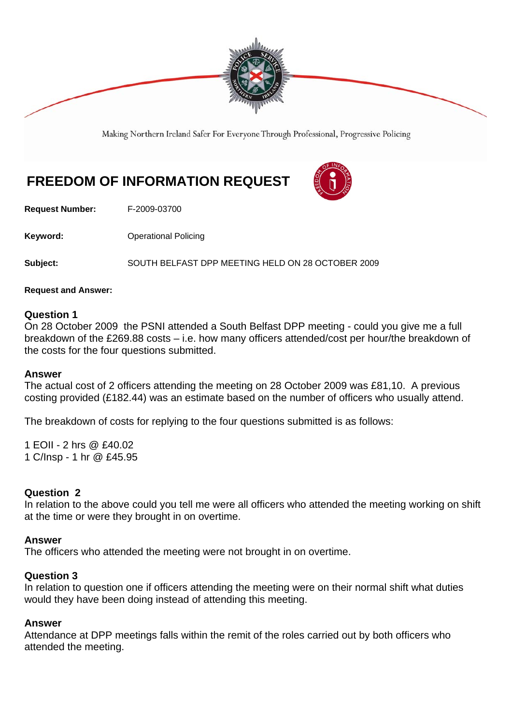

Making Northern Ireland Safer For Everyone Through Professional, Progressive Policing

# **FREEDOM OF INFORMATION REQUEST**



**Request Number:** F-2009-03700

**Keyword: Conservery Operational Policing** 

**Subject:** SOUTH BELFAST DPP MEETING HELD ON 28 OCTOBER 2009

**Request and Answer:** 

#### **Question 1**

On 28 October 2009 the PSNI attended a South Belfast DPP meeting - could you give me a full breakdown of the £269.88 costs – i.e. how many officers attended/cost per hour/the breakdown of the costs for the four questions submitted.

#### **Answer**

The actual cost of 2 officers attending the meeting on 28 October 2009 was £81,10. A previous costing provided (£182.44) was an estimate based on the number of officers who usually attend.

The breakdown of costs for replying to the four questions submitted is as follows:

1 EOII - 2 hrs @ £40.02 1 C/Insp - 1 hr @ £45.95

#### **Question 2**

In relation to the above could you tell me were all officers who attended the meeting working on shift at the time or were they brought in on overtime.

#### **Answer**

The officers who attended the meeting were not brought in on overtime.

#### **Question 3**

In relation to question one if officers attending the meeting were on their normal shift what duties would they have been doing instead of attending this meeting.

#### **Answer**

Attendance at DPP meetings falls within the remit of the roles carried out by both officers who attended the meeting.